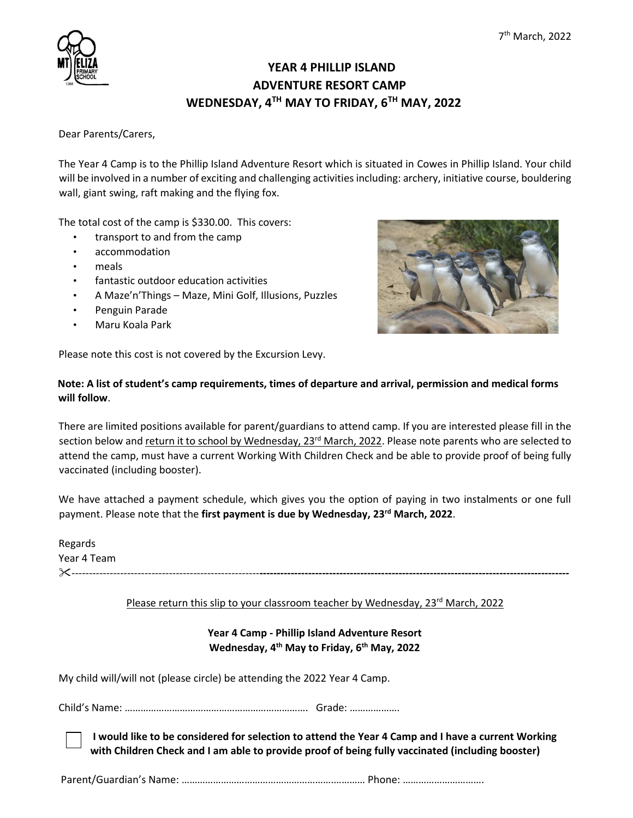

## **YEAR 4 PHILLIP ISLAND ADVENTURE RESORT CAMP WEDNESDAY, 4TH MAY TO FRIDAY, 6TH MAY, 2022**

Dear Parents/Carers,

The Year 4 Camp is to the Phillip Island Adventure Resort which is situated in Cowes in Phillip Island. Your child will be involved in a number of exciting and challenging activities including: archery, initiative course, bouldering wall, giant swing, raft making and the flying fox.

The total cost of the camp is \$330.00. This covers:

- transport to and from the camp
- accommodation
- meals
- fantastic outdoor education activities
- A Maze'n'Things Maze, Mini Golf, Illusions, Puzzles
- Penguin Parade
- Maru Koala Park

Please note this cost is not covered by the Excursion Levy.



## **Note: A list of student's camp requirements, times of departure and arrival, permission and medical forms will follow**.

There are limited positions available for parent/guardians to attend camp. If you are interested please fill in the section below and return it to school by Wednesday, 23<sup>rd</sup> March, 2022. Please note parents who are selected to attend the camp, must have a current Working With Children Check and be able to provide proof of being fully vaccinated (including booster).

We have attached a payment schedule, which gives you the option of paying in two instalments or one full payment. Please note that the **first payment is due by Wednesday, 23rd March, 2022**.

Regards Year 4 Team ------------------------------------------------------**-----------------------------------------------------------------------------------------**

### Please return this slip to your classroom teacher by Wednesday, 23<sup>rd</sup> March, 2022

## **Year 4 Camp - Phillip Island Adventure Resort Wednesday, 4th May to Friday, 6th May, 2022**

My child will/will not (please circle) be attending the 2022 Year 4 Camp.

Child's Name: ……………………………………………………………. Grade: ……………….

**I would like to be considered for selection to attend the Year 4 Camp and I have a current Working with Children Check and I am able to provide proof of being fully vaccinated (including booster)**

Parent/Guardian's Name: ………………………………………………….………… Phone: ………………………….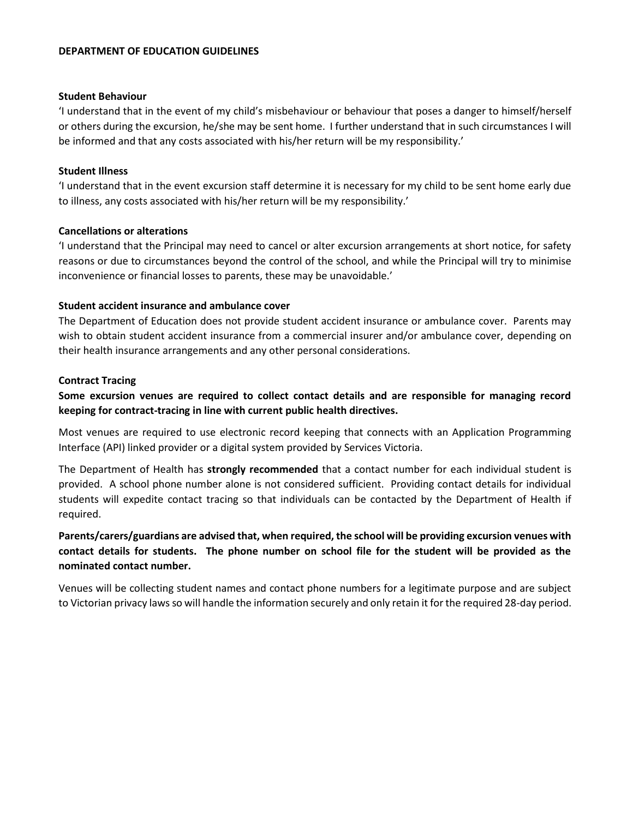#### **DEPARTMENT OF EDUCATION GUIDELINES**

#### **Student Behaviour**

'I understand that in the event of my child's misbehaviour or behaviour that poses a danger to himself/herself or others during the excursion, he/she may be sent home. I further understand that in such circumstances I will be informed and that any costs associated with his/her return will be my responsibility.'

#### **Student Illness**

'I understand that in the event excursion staff determine it is necessary for my child to be sent home early due to illness, any costs associated with his/her return will be my responsibility.'

#### **Cancellations or alterations**

'I understand that the Principal may need to cancel or alter excursion arrangements at short notice, for safety reasons or due to circumstances beyond the control of the school, and while the Principal will try to minimise inconvenience or financial losses to parents, these may be unavoidable.'

#### **Student accident insurance and ambulance cover**

The Department of Education does not provide student accident insurance or ambulance cover. Parents may wish to obtain student accident insurance from a commercial insurer and/or ambulance cover, depending on their health insurance arrangements and any other personal considerations.

#### **Contract Tracing**

**Some excursion venues are required to collect contact details and are responsible for managing record keeping for contract-tracing in line with current public health directives.**

Most venues are required to use electronic record keeping that connects with an Application Programming Interface (API) linked provider or a digital system provided by Services Victoria.

The Department of Health has **strongly recommended** that a contact number for each individual student is provided. A school phone number alone is not considered sufficient. Providing contact details for individual students will expedite contact tracing so that individuals can be contacted by the Department of Health if required.

## **Parents/carers/guardians are advised that, when required, the school will be providing excursion venues with contact details for students. The phone number on school file for the student will be provided as the nominated contact number.**

Venues will be collecting student names and contact phone numbers for a legitimate purpose and are subject to Victorian privacy laws so will handle the information securely and only retain it for the required 28-day period.